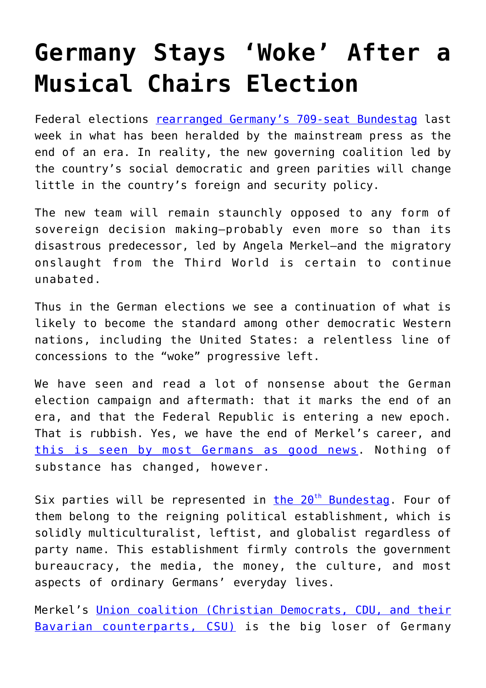## **[Germany Stays 'Woke' After a](https://intellectualtakeout.org/2021/10/germany-stays-woke-after-a-musical-chairs-election/) [Musical Chairs Election](https://intellectualtakeout.org/2021/10/germany-stays-woke-after-a-musical-chairs-election/)**

Federal elections [rearranged Germany's 709-seat Bundestag](https://www.tagesschau.de/wahl/archiv/2021-09-26-BT-DE) last week in what has been heralded by the mainstream press as the end of an era. In reality, the new governing coalition led by the country's social democratic and green parities will change little in the country's foreign and security policy.

The new team will remain staunchly opposed to any form of sovereign decision making—probably even more so than its disastrous predecessor, led by Angela Merkel—and the migratory onslaught from the Third World is certain to continue unabated.

Thus in the German elections we see a continuation of what is likely to become the standard among other democratic Western nations, including the United States: a relentless line of concessions to the "woke" progressive left.

We have seen and read a lot of nonsense about the German election campaign and aftermath: that it marks the end of an era, and that the Federal Republic is entering a new epoch. That is rubbish. Yes, we have the end of Merkel's career, and [this is seen by most Germans as good news.](https://www.augsburger-allgemeine.de/special/bayern-monitor/Umfrage-Mehrheit-der-Deutschen-wird-Angela-Merkel-als-Kanzlerin-nicht-vermissen-id60631776.html) Nothing of substance has changed, however.

Six parties will be represented in [th](https://www.stern.de/politik/deutschland/wahlergebnis-der-bundestagswahl-2021--aktuelle-zahlen-und-sitzverteilung-30595142.html)e  $20<sup>th</sup>$  [Bundestag.](https://www.stern.de/politik/deutschland/wahlergebnis-der-bundestagswahl-2021--aktuelle-zahlen-und-sitzverteilung-30595142.html) Four of them belong to the reigning political establishment, which is solidly multiculturalist, leftist, and globalist regardless of party name. This establishment firmly controls the government bureaucracy, the media, the money, the culture, and most aspects of ordinary Germans' everyday lives.

Merkel's [Union coalition \(Christian Democrats, CDU, and their](https://www.cducsu.de/) [Bavarian counterparts, CSU\)](https://www.cducsu.de/) is the big loser of Germany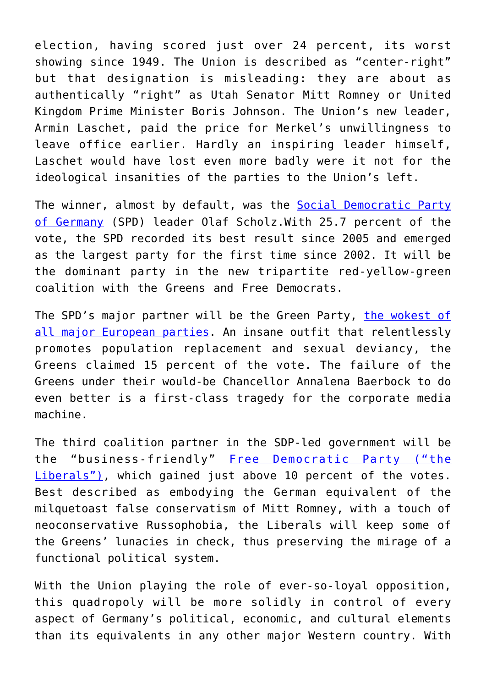election, having scored just over 24 percent, its worst showing since 1949. The Union is described as "center-right" but that designation is misleading: they are about as authentically "right" as Utah Senator Mitt Romney or United Kingdom Prime Minister Boris Johnson. The Union's new leader, Armin Laschet, paid the price for Merkel's unwillingness to leave office earlier. Hardly an inspiring leader himself, Laschet would have lost even more badly were it not for the ideological insanities of the parties to the Union's left.

The winner, almost by default, was the [Social Democratic Party](https://en.wikipedia.org/wiki/Social_Democratic_Party_of_Germany) [of Germany](https://en.wikipedia.org/wiki/Social_Democratic_Party_of_Germany) (SPD) leader Olaf Scholz.With 25.7 percent of the vote, the SPD recorded its best result since 2005 and emerged as the largest party for the first time since 2002. It will be the dominant party in the new tripartite red-yellow-green coalition with the Greens and Free Democrats.

The SPD's major partner will be the Green Party, [the wokest of](https://www.gruene.de/) [all major European parties](https://www.gruene.de/). An insane outfit that relentlessly promotes population replacement and sexual deviancy, the Greens claimed 15 percent of the vote. The failure of the Greens under their would-be Chancellor Annalena Baerbock to do even better is a first-class tragedy for the corporate media machine.

The third coalition partner in the SDP-led government will be the "business-friendly" [Free Democratic Party \("the](https://www.fdp.de/) [Liberals"\),](https://www.fdp.de/) which gained just above 10 percent of the votes. Best described as embodying the German equivalent of the milquetoast false conservatism of Mitt Romney, with a touch of neoconservative Russophobia, the Liberals will keep some of the Greens' lunacies in check, thus preserving the mirage of a functional political system.

With the Union playing the role of ever-so-loyal opposition, this quadropoly will be more solidly in control of every aspect of Germany's political, economic, and cultural elements than its equivalents in any other major Western country. With